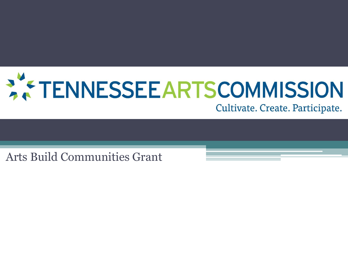

Cultivate. Create. Participate.

Arts Build Communities Grant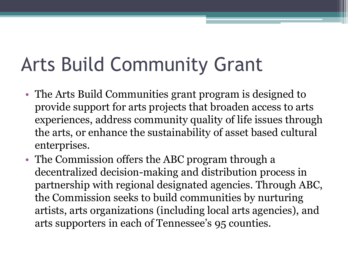# Arts Build Community Grant

- The Arts Build Communities grant program is designed to provide support for arts projects that broaden access to arts experiences, address community quality of life issues through the arts, or enhance the sustainability of asset based cultural enterprises.
- The Commission offers the ABC program through a decentralized decision-making and distribution process in partnership with regional designated agencies. Through ABC, the Commission seeks to build communities by nurturing artists, arts organizations (including local arts agencies), and arts supporters in each of Tennessee's 95 counties.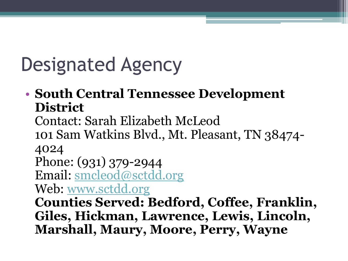# Designated Agency

#### • **South Central Tennessee Development District**

Contact: Sarah Elizabeth McLeod

101 Sam Watkins Blvd., Mt. Pleasant, TN 38474- 4024

Phone: (931) 379-2944

Email: [smcleod@sctdd.org](mailto:smcleod@sctdd.org)

Web: [www.sctdd.org](http://www.sctdd.org/)

**Counties Served: Bedford, Coffee, Franklin, Giles, Hickman, Lawrence, Lewis, Lincoln, Marshall, Maury, Moore, Perry, Wayne**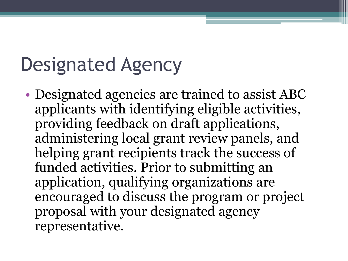## Designated Agency

• Designated agencies are trained to assist ABC applicants with identifying eligible activities, providing feedback on draft applications, administering local grant review panels, and helping grant recipients track the success of funded activities. Prior to submitting an application, qualifying organizations are encouraged to discuss the program or project proposal with your designated agency representative.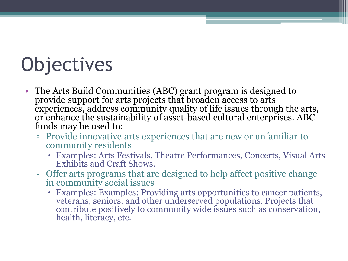# **Objectives**

- The Arts Build Communities (ABC) grant program is designed to provide support for arts projects that broaden access to arts experiences, address community quality of life issues through the arts, or enhance the sustainability of asset-based cultural enterprises. ABC funds may be used to:
	- Provide innovative arts experiences that are new or unfamiliar to community residents
		- Examples: Arts Festivals, Theatre Performances, Concerts, Visual Arts Exhibits and Craft Shows.
	- Offer arts programs that are designed to help affect positive change in community social issues
		- Examples: Examples: Providing arts opportunities to cancer patients, veterans, seniors, and other underserved populations. Projects that contribute positively to community wide issues such as conservation, health, literacy, etc.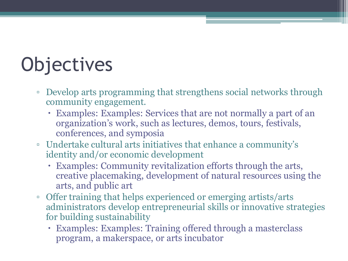# **Objectives**

- Develop arts programming that strengthens social networks through community engagement.
	- Examples: Examples: Services that are not normally a part of an organization's work, such as lectures, demos, tours, festivals, conferences, and symposia
- Undertake cultural arts initiatives that enhance a community's identity and/or economic development
	- Examples: Community revitalization efforts through the arts, creative placemaking, development of natural resources using the arts, and public art
- Offer training that helps experienced or emerging artists/arts administrators develop entrepreneurial skills or innovative strategies for building sustainability
	- Examples: Examples: Training offered through a masterclass program, a makerspace, or arts incubator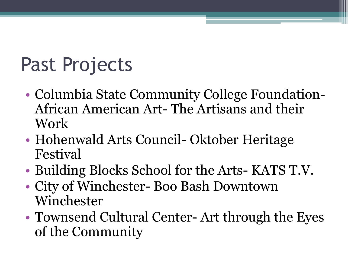# Past Projects

- Columbia State Community College Foundation-African American Art- The Artisans and their Work
- Hohenwald Arts Council- Oktober Heritage Festival
- Building Blocks School for the Arts- KATS T.V.
- City of Winchester- Boo Bash Downtown Winchester
- Townsend Cultural Center- Art through the Eyes of the Community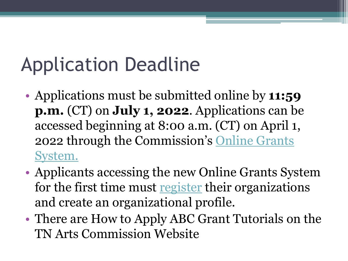# Application Deadline

- Applications must be submitted online by **11:59 p.m.** (CT) on **July 1, 2022**. Applications can be accessed beginning at 8:00 a.m. (CT) on April 1, [2022 through the Commission's](https://tnarts.fluxx.io/user_sessions/new) Online Grants System.
- Applicants accessing the new Online Grants System for the first time must [register](http://tnartscommission.org/new-online-grants-system/) their organizations and create an organizational profile.
- There are How to Apply ABC Grant Tutorials on the TN Arts Commission Website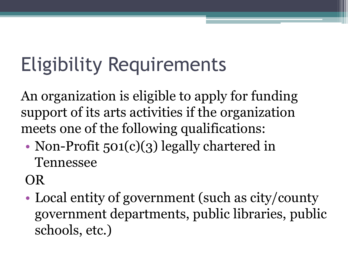# Eligibility Requirements

An organization is eligible to apply for funding support of its arts activities if the organization meets one of the following qualifications:

• Non-Profit 501(c)(3) legally chartered in Tennessee

OR

• Local entity of government (such as city/county government departments, public libraries, public schools, etc.)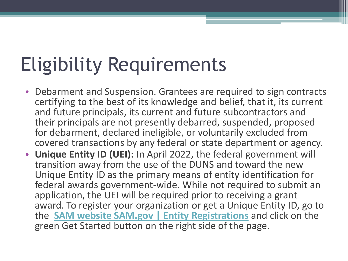# Eligibility Requirements

- Debarment and Suspension. Grantees are required to sign contracts certifying to the best of its knowledge and belief, that it, its current and future principals, its current and future subcontractors and their principals are not presently debarred, suspended, proposed for debarment, declared ineligible, or voluntarily excluded from covered transactions by any federal or state department or agency.
- **Unique Entity ID (UEI):** In April 2022, the federal government will transition away from the use of the DUNS and toward the new Unique Entity ID as the primary means of entity identification for federal awards government-wide. While not required to submit an application, the UEI will be required prior to receiving a grant award. To register your organization or get a Unique Entity ID, go to the **[SAM website SAM.gov | Entity Registrations](https://sam.gov/content/home)** and click on the green Get Started button on the right side of the page.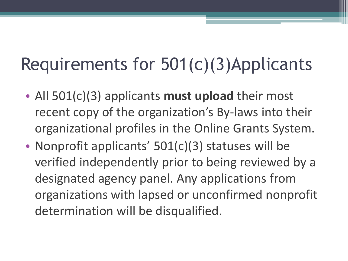### Requirements for 501(c)(3)Applicants

- All 501(c)(3) applicants **must upload** their most recent copy of the organization's By-laws into their organizational profiles in the Online Grants System.
- Nonprofit applicants' 501(c)(3) statuses will be verified independently prior to being reviewed by a designated agency panel. Any applications from organizations with lapsed or unconfirmed nonprofit determination will be disqualified.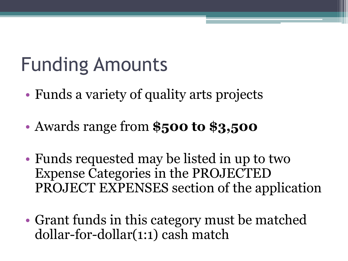# Funding Amounts

- Funds a variety of quality arts projects
- Awards range from **\$500 to \$3,500**
- Funds requested may be listed in up to two Expense Categories in the PROJECTED PROJECT EXPENSES section of the application
- Grant funds in this category must be matched dollar-for-dollar(1:1) cash match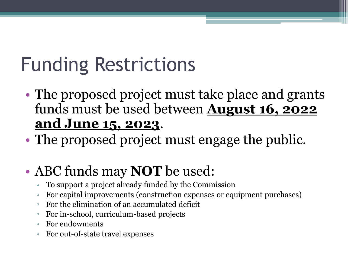# Funding Restrictions

- The proposed project must take place and grants funds must be used between **August 16, 2022 and June 15, 2023**.
- The proposed project must engage the public.

#### • ABC funds may **NOT** be used:

- To support a project already funded by the Commission
- For capital improvements (construction expenses or equipment purchases)
- For the elimination of an accumulated deficit
- For in-school, curriculum-based projects
- For endowments
- For out-of-state travel expenses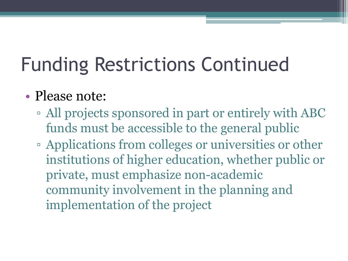# Funding Restrictions Continued

#### • Please note:

- All projects sponsored in part or entirely with ABC funds must be accessible to the general public
- Applications from colleges or universities or other institutions of higher education, whether public or private, must emphasize non-academic community involvement in the planning and implementation of the project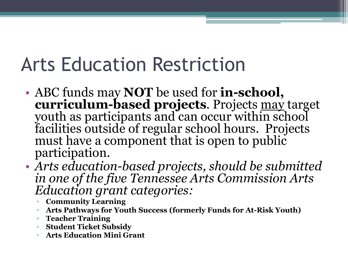## Arts Education Restriction

- ABC funds may **NOT** be used for **in-school, curriculum-based projects**. Projects may target youth as participants and can occur within school facilities outside of regular school hours. Projects must have a component that is open to public participation.
- *Arts education-based projects, should be submitted in one of the five Tennessee Arts Commission Arts Education grant categories:* 
	- **Community Learning**
	- **Arts Pathways for Youth Success (formerly Funds for At-Risk Youth)**
	- **Teacher Training**
	- **Student Ticket Subsidy**
	- **Arts Education Mini Grant**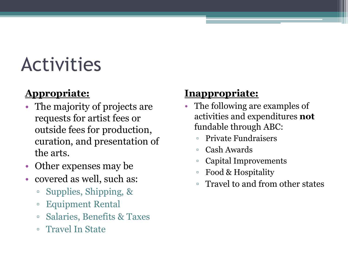## Activities

#### **Appropriate:**

- The majority of projects are requests for artist fees or outside fees for production, curation, and presentation of the arts.
- Other expenses may be
- covered as well, such as:
	- Supplies, Shipping, &
	- Equipment Rental
	- Salaries, Benefits & Taxes
	- Travel In State

#### **Inappropriate:**

- The following are examples of activities and expenditures **not**  fundable through ABC:
	- Private Fundraisers
	- Cash Awards
	- Capital Improvements
	- Food & Hospitality
	- Travel to and from other states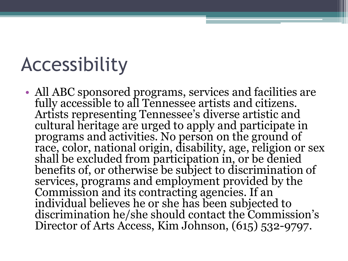### Accessibility

• All ABC sponsored programs, services and facilities are fully accessible to all Tennessee artists and citizens. Artists representing Tennessee's diverse artistic and cultural heritage are urged to apply and participate in programs and activities. No person on the ground of race, color, national origin, disability, age, religion or sex shall be excluded from participation in, or be denied benefits of, or otherwise be subject to discrimination of services, programs and employment provided by the Commission and its contracting agencies. If an individual believes he or she has been subjected to discrimination he/she should contact the Commission's Director of Arts Access, Kim Johnson, (615) 532-9797.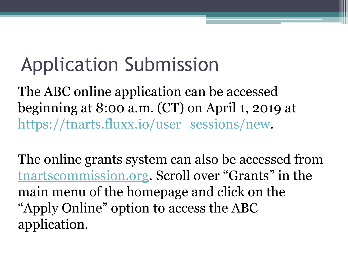# Application Submission

The ABC online application can be accessed beginning at 8:00 a.m. (CT) on April 1, 2019 at [https://tnarts.fluxx.io/user\\_sessions/new.](https://tnarts.fluxx.io/user_sessions/new)

The online grants system can also be accessed from [tnartscommission.org](http://tnartscommission.org/). Scroll over "Grants" in the main menu of the homepage and click on the "Apply Online" option to access the ABC application.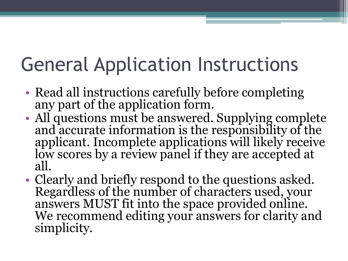# General Application Instructions

- Read all instructions carefully before completing any part of the application form.
- All questions must be answered. Supplying complete and accurate information is the responsibility of the applicant. Incomplete applications will likely receive low scores by a review panel if they are accepted at all.
- Clearly and briefly respond to the questions asked. Regardless of the number of characters used, your answers MUST fit into the space provided online. We recommend editing your answers for clarity and simplicity.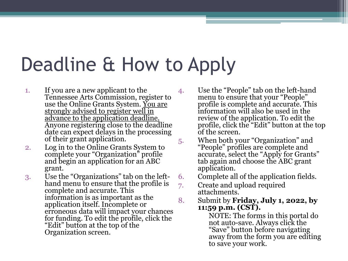## Deadline & How to Apply

- 1. If you are a new applicant to the Tennessee Arts Commission, register to use the Online Grants System. <u>You are</u> strongly advised to register well in advance to the application deadline. Anyone registering close to the deadline date can expect delays in the processing of their grant application.
- 2. Log in to the Online Grants System to complete your "Organization" profile and begin an application for an ABC grant.
- 3. Use the "Organizations" tab on the lefthand menu to ensure that the profile is complete and accurate. This information is as important as the application itself. Incomplete or erroneous data will impact your chances for funding. To edit the profile, click the "Edit" button at the top of the Organization screen.

4. Use the "People" tab on the left-hand menu to ensure that your "People" profile is complete and accurate. This information will also be used in the review of the application. To edit the profile, click the "Edit" button at the top of the screen.

5. When both your "Organization" and "People" profiles are complete and accurate, select the "Apply for Grants" tab again and choose the ABC grant application.

6. Complete all of the application fields.

7. Create and upload required attachments.

8. Submit by **Friday, July 1, 2022, by 11:59 p.m. (CST).**

NOTE: The forms in this portal do not auto-save. Always click the "Save" button before navigating away from the form you are editing to save your work.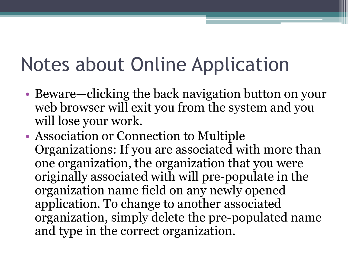## Notes about Online Application

- Beware—clicking the back navigation button on your web browser will exit you from the system and you will lose your work.
- Association or Connection to Multiple Organizations: If you are associated with more than one organization, the organization that you were originally associated with will pre-populate in the organization name field on any newly opened application. To change to another associated organization, simply delete the pre-populated name and type in the correct organization.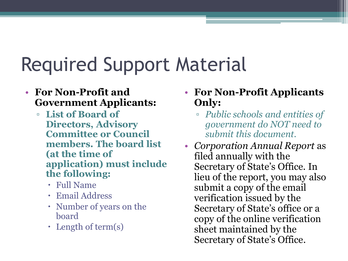# Required Support Material

#### • **For Non-Profit and Government Applicants:**

- **List of Board of Directors, Advisory Committee or Council members. The board list (at the time of application) must include the following:** 
	- Full Name
	- Email Address
	- Number of years on the board
	- $\cdot$  Length of term(s)
- **For Non-Profit Applicants Only:** 
	- *Public schools and entities of government do NOT need to submit this document.*
- *Corporation Annual Report* as filed annually with the Secretary of State's Office. In lieu of the report, you may also submit a copy of the email verification issued by the Secretary of State's office or a copy of the online verification sheet maintained by the Secretary of State's Office.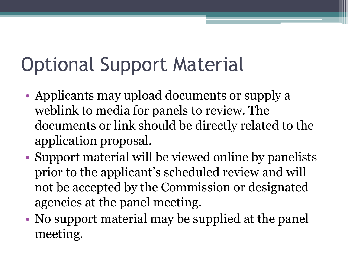# Optional Support Material

- Applicants may upload documents or supply a weblink to media for panels to review. The documents or link should be directly related to the application proposal.
- Support material will be viewed online by panelists prior to the applicant's scheduled review and will not be accepted by the Commission or designated agencies at the panel meeting.
- No support material may be supplied at the panel meeting.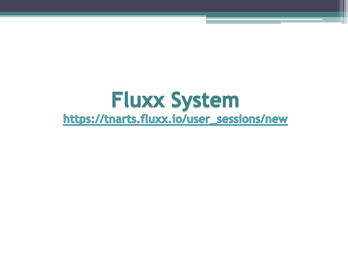#### **Fluxx System** https://tnarts.fluxx.io/user\_sessions/new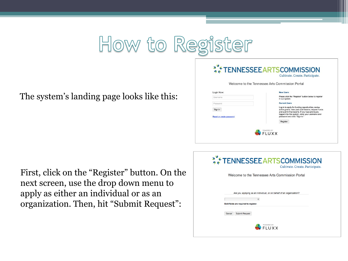

The system's landing page looks like this:

|                                     | Welcome to the Tennessee Arts Commission Portal                                                                                                                                                                                                   |
|-------------------------------------|---------------------------------------------------------------------------------------------------------------------------------------------------------------------------------------------------------------------------------------------------|
| Login Now:                          | <b>New Users</b>                                                                                                                                                                                                                                  |
| Username                            | Please click the "Register" button below to register<br>in our system.                                                                                                                                                                            |
| Password                            | <b>Current Users</b>                                                                                                                                                                                                                              |
| Sign in<br>Reset or create password | Log in to apply for funding opportunities, review<br>active grants, view past submissions, request funds<br>and submit final reports. If you have previously<br>logged into this system, enter your username and<br>password and click "Sign In." |
|                                     | Register                                                                                                                                                                                                                                          |

First, click on the "Register" button. On the next screen, use the drop down menu to apply as either an individual or as an organization. Then, hit "Submit Request":

| *** TENNESSEE ARTSCOMMISSION<br>Cultivate. Create. Participate.                                                   |  |
|-------------------------------------------------------------------------------------------------------------------|--|
| Welcome to the Tennessee Arts Commission Portal                                                                   |  |
| Are you applying as an individual, or on behalf of an organization?<br>÷<br>Bold fields are required to register. |  |
| <b>Submit Request</b><br>Cancel                                                                                   |  |
| <b>POWERED BY</b>                                                                                                 |  |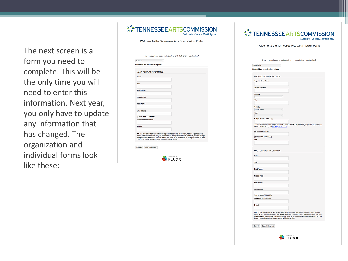The next screen is a form you need to complete. This will be the only time you will need to enter this information. Next year, you only have to update any information that has changed. The organization and individual forms look like these:

| <b>AX TENNESSEE ARTSCOMMISSION</b><br>Cultivate. Create. Participate.                                                                                                                                                                                                                                                                                      |
|------------------------------------------------------------------------------------------------------------------------------------------------------------------------------------------------------------------------------------------------------------------------------------------------------------------------------------------------------------|
| Welcome to the Tennessee Arts Commission Portal                                                                                                                                                                                                                                                                                                            |
|                                                                                                                                                                                                                                                                                                                                                            |
| Are you applying as an individual, or on behalf of an organization?                                                                                                                                                                                                                                                                                        |
| Individual<br>٠                                                                                                                                                                                                                                                                                                                                            |
| Bold fields are required to register.                                                                                                                                                                                                                                                                                                                      |
|                                                                                                                                                                                                                                                                                                                                                            |
| YOUR CONTACT INFORMATION                                                                                                                                                                                                                                                                                                                                   |
| Prefix                                                                                                                                                                                                                                                                                                                                                     |
|                                                                                                                                                                                                                                                                                                                                                            |
| Title                                                                                                                                                                                                                                                                                                                                                      |
| <b>First Name</b>                                                                                                                                                                                                                                                                                                                                          |
|                                                                                                                                                                                                                                                                                                                                                            |
| Middle Initial                                                                                                                                                                                                                                                                                                                                             |
|                                                                                                                                                                                                                                                                                                                                                            |
| <b>Last Name</b>                                                                                                                                                                                                                                                                                                                                           |
| Work Phone                                                                                                                                                                                                                                                                                                                                                 |
|                                                                                                                                                                                                                                                                                                                                                            |
| flormat: XXX-XXX-XXXXX                                                                                                                                                                                                                                                                                                                                     |
| <b>Work Phone Extension</b>                                                                                                                                                                                                                                                                                                                                |
| E-mail                                                                                                                                                                                                                                                                                                                                                     |
|                                                                                                                                                                                                                                                                                                                                                            |
| NOTE: The contact email will receive login and password credentials, not the organization's<br>email. Additional contacts may be connected to an organization with their own, individual login<br>and password credentials, individuals do not need to be connected to an organization, or may<br>be connected to multiple organizations within the system |
|                                                                                                                                                                                                                                                                                                                                                            |
| Cancel<br>Submit Request                                                                                                                                                                                                                                                                                                                                   |
|                                                                                                                                                                                                                                                                                                                                                            |
|                                                                                                                                                                                                                                                                                                                                                            |
| FLUXX                                                                                                                                                                                                                                                                                                                                                      |

|                                                         | Welcome to the Tennessee Arts Commission Portal                                                                                                                                                                                                                                                                                     |  |
|---------------------------------------------------------|-------------------------------------------------------------------------------------------------------------------------------------------------------------------------------------------------------------------------------------------------------------------------------------------------------------------------------------|--|
|                                                         |                                                                                                                                                                                                                                                                                                                                     |  |
|                                                         | Are you applying as an individual, or on behalf of an organization?                                                                                                                                                                                                                                                                 |  |
| Organization 0<br>Bold fields are required to register. |                                                                                                                                                                                                                                                                                                                                     |  |
| ORGANIZATION INFORMATION                                |                                                                                                                                                                                                                                                                                                                                     |  |
| <b>Organization Name</b>                                |                                                                                                                                                                                                                                                                                                                                     |  |
| <b>Street Address</b>                                   |                                                                                                                                                                                                                                                                                                                                     |  |
| County                                                  | ٠l                                                                                                                                                                                                                                                                                                                                  |  |
| City                                                    |                                                                                                                                                                                                                                                                                                                                     |  |
| Country                                                 |                                                                                                                                                                                                                                                                                                                                     |  |
| <b>United States</b><br>State:                          | ٠                                                                                                                                                                                                                                                                                                                                   |  |
| 9 Digit Postal Code (Zip)                               | ٠l                                                                                                                                                                                                                                                                                                                                  |  |
|                                                         | You MUST include your 9-digit zip code. If you do not know your 9-digit zip code, contact your<br>local post office or go to Lock Up a ZIP Code.                                                                                                                                                                                    |  |
| Organization Phone                                      |                                                                                                                                                                                                                                                                                                                                     |  |
| (format: XXX-XXX-XXXX)<br>EIN                           |                                                                                                                                                                                                                                                                                                                                     |  |
|                                                         |                                                                                                                                                                                                                                                                                                                                     |  |
| YOUR CONTACT INFORMATION                                |                                                                                                                                                                                                                                                                                                                                     |  |
| Prefix                                                  |                                                                                                                                                                                                                                                                                                                                     |  |
| Title                                                   |                                                                                                                                                                                                                                                                                                                                     |  |
| <b>First Name</b>                                       |                                                                                                                                                                                                                                                                                                                                     |  |
|                                                         |                                                                                                                                                                                                                                                                                                                                     |  |
| Middle Initial                                          |                                                                                                                                                                                                                                                                                                                                     |  |
| <b>Last Name</b>                                        |                                                                                                                                                                                                                                                                                                                                     |  |
| Work Phone                                              |                                                                                                                                                                                                                                                                                                                                     |  |
| (format: XXX-XXX-XXXX)<br>Work Phone Extension          |                                                                                                                                                                                                                                                                                                                                     |  |
|                                                         |                                                                                                                                                                                                                                                                                                                                     |  |
| E-mail                                                  |                                                                                                                                                                                                                                                                                                                                     |  |
|                                                         | NOTE: The contact email will receive login and password credentials, not the organization's<br>email. Additional contacts may be connected to an organization with their own, individual login<br>and password credentials. Individuals do not need to be connected to an organization, or may<br>be connected to multiple organiza |  |
| Cancel Submit Request                                   |                                                                                                                                                                                                                                                                                                                                     |  |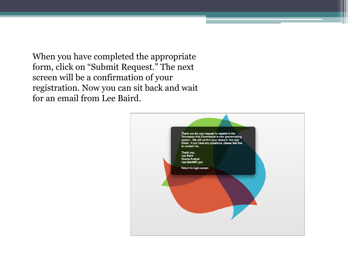When you have completed the appropriate form, click on "Submit Request." The next screen will be a confirmation of your registration. Now you can sit back and wait for an email from Lee Baird.

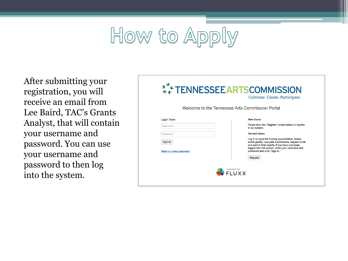# How to Apply

After submitting your registration, you will receive an email from Lee Baird, TAC's Grants Analyst, that will contain your username and password. You can use your username and password to then log into the system.

|                          | Welcome to the Tennessee Arts Commission Portal                                                         |
|--------------------------|---------------------------------------------------------------------------------------------------------|
|                          |                                                                                                         |
| Login Now:               | <b>New Users</b>                                                                                        |
| Username                 | Please click the "Register" button below to register<br>in our system.                                  |
| Password                 | <b>Current Users</b>                                                                                    |
|                          | Log in to apply for funding opportunities, review                                                       |
|                          | and submit final reports. If you have previously                                                        |
| Reset or create password | password and click "Sign In."                                                                           |
|                          | Register                                                                                                |
| Sign in                  | active grants, view past submissions, request funds<br>logged into this system, enter your username and |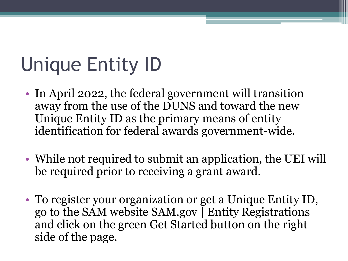# Unique Entity ID

- In April 2022, the federal government will transition away from the use of the DUNS and toward the new Unique Entity ID as the primary means of entity identification for federal awards government-wide.
- While not required to submit an application, the UEI will be required prior to receiving a grant award.
- To register your organization or get a Unique Entity ID, go to the SAM website SAM.gov | Entity Registrations and click on the green Get Started button on the right side of the page.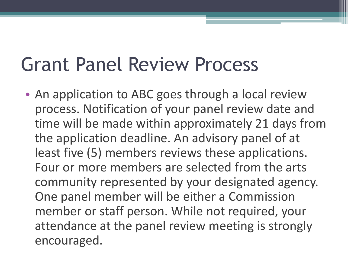## Grant Panel Review Process

• An application to ABC goes through a local review process. Notification of your panel review date and time will be made within approximately 21 days from the application deadline. An advisory panel of at least five (5) members reviews these applications. Four or more members are selected from the arts community represented by your designated agency. One panel member will be either a Commission member or staff person. While not required, your attendance at the panel review meeting is strongly encouraged.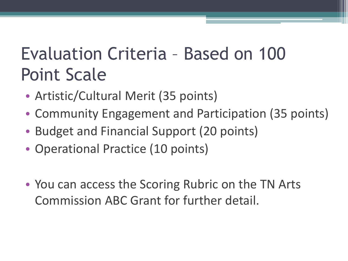#### Evaluation Criteria – Based on 100 Point Scale

- Artistic/Cultural Merit (35 points)
- Community Engagement and Participation (35 points)
- Budget and Financial Support (20 points)
- Operational Practice (10 points)
- You can access the Scoring Rubric on the TN Arts Commission ABC Grant for further detail.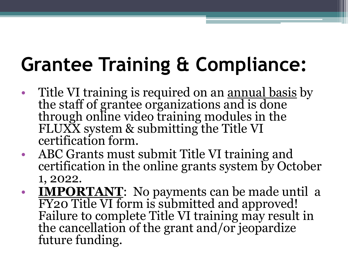# **Grantee Training & Compliance:**

- Title VI training is required on an <u>annual basis</u> by the staff of grantee organizations and is done through online video training modules in the FLUXX system & submitting the Title VI certification form.
- ABC Grants must submit Title VI training and certification in the online grants system by October 1, 2022.
- **IMPORTANT**: No payments can be made until a FY20 Title VI form is submitted and approved! Failure to complete Title VI training may result in the cancellation of the grant and/or jeopardize future funding.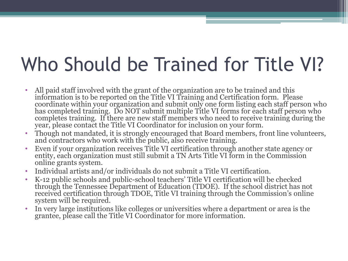# Who Should be Trained for Title VI?

- All paid staff involved with the grant of the organization are to be trained and this information is to be reported on the Title VI Training and Certification form. Please coordinate within your organization and submit only one form listing each staff person who has completed training. Do NOT submit multiple Title VI forms for each staff person who completes training. If there are new staff members who need to receive training during the year, please contact the Title VI Coordinator for inclusion on your form.
- Though not mandated, it is strongly encouraged that Board members, front line volunteers, and contractors who work with the public, also receive training.
- Even if your organization receives Title VI certification through another state agency or entity, each organization must still submit a TN Arts Title VI form in the Commission online grants system.
- Individual artists and/or individuals do not submit a Title VI certification.
- K-12 public schools and public-school teachers' Title VI certification will be checked through the Tennessee Department of Education (TDOE). If the school district has not received certification through TDOE, Title VI training through the Commission's online system will be required.
- In very large institutions like colleges or universities where a department or area is the grantee, please call the Title VI Coordinator for more information.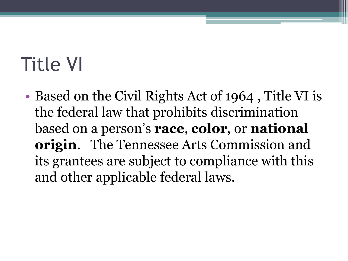# Title VI

• Based on the Civil Rights Act of 1964, Title VI is the federal law that prohibits discrimination based on a person's **race**, **color**, or **national origin**. The Tennessee Arts Commission and its grantees are subject to compliance with this and other applicable federal laws.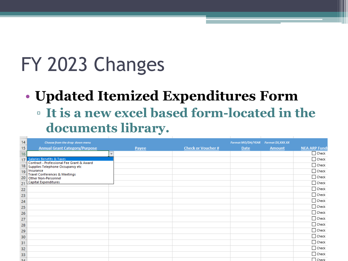# FY 2023 Changes

#### • **Updated Itemized Expenditures Form**

▫ **It is a new excel based form-located in the documents library.** 

| 14              | Choose from the drop down menu                                                |       |                          | Format MO/DA/YEAR | Format \$X, XXX.XX |                      |
|-----------------|-------------------------------------------------------------------------------|-------|--------------------------|-------------------|--------------------|----------------------|
| 15              | <b>Annual Grant Category/Purpose</b>                                          | Payee | <b>Check or Voucher#</b> | Date              | <b>Amount</b>      | <b>NEA ARP Funds</b> |
| 16              | $\overline{\mathbf{v}}$                                                       |       |                          |                   |                    | $\Box$ Check         |
| 17              | <b>Salaries Benefits &amp; Taxes</b>                                          |       |                          |                   |                    | $\Box$ Check         |
| 18              | Contract - Professional Fee Grant & Award<br>Supplies Telephone Occupancy etc |       |                          |                   |                    | $\Box$ Check         |
|                 | 19 Insurance                                                                  |       |                          |                   |                    | $\Box$ Check         |
| 20              | <b>Travel Conferences &amp; Meetings</b><br><b>Other Non-Personnel</b>        |       |                          |                   |                    | $\Box$ Check         |
| 21              | <b>Capital Expenditures</b>                                                   |       |                          |                   |                    | $\Box$ Check         |
|                 |                                                                               |       |                          |                   |                    | $\Box$ Check         |
| $\overline{22}$ |                                                                               |       |                          |                   |                    | $\Box$ Check         |
| 23              |                                                                               |       |                          |                   |                    |                      |
| 24              |                                                                               |       |                          |                   |                    | $\Box$ Check         |
| <b>25</b>       |                                                                               |       |                          |                   |                    | $\Box$ Check         |
| 26              |                                                                               |       |                          |                   |                    | $\Box$ Check         |
| 27              |                                                                               |       |                          |                   |                    | $\Box$ Check         |
| 28              |                                                                               |       |                          |                   |                    | $\Box$ Check         |
| 29              |                                                                               |       |                          |                   |                    | $\Box$ Check         |
| 30              |                                                                               |       |                          |                   |                    | $\Box$ Check         |
| 31              |                                                                               |       |                          |                   |                    | $\Box$ Check         |
| 32              |                                                                               |       |                          |                   |                    | $\Box$ Check         |
| 33              |                                                                               |       |                          |                   |                    | $\Box$ Check         |
| 2A              |                                                                               |       |                          |                   |                    | $\Box$ Check         |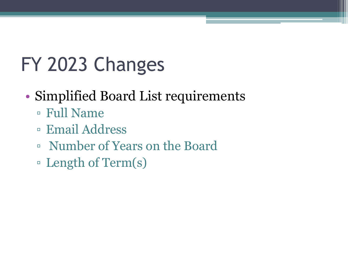# FY 2023 Changes

#### • Simplified Board List requirements

- Full Name
- Email Address
- Number of Years on the Board
- Length of Term(s)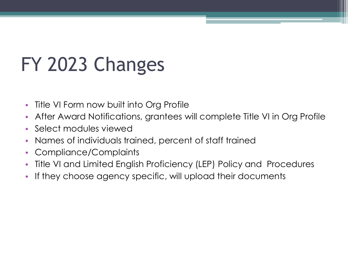# FY 2023 Changes

- Title VI Form now built into Org Profile
- After Award Notifications, grantees will complete Title VI in Org Profile
- Select modules viewed
- Names of individuals trained, percent of staff trained
- Compliance/Complaints
- Title VI and Limited English Proficiency (LEP) Policy and Procedures
- If they choose agency specific, will upload their documents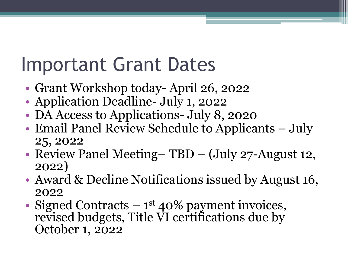## Important Grant Dates

- Grant Workshop today-April 26, 2022
- Application Deadline- July 1, 2022
- DA Access to Applications- July 8, 2020
- Email Panel Review Schedule to Applicants July 25, 2022
- Review Panel Meeting– TBD (July 27-August 12, 2022)
- Award & Decline Notifications issued by August 16, 2022
- Signed Contracts 1<sup>st</sup> 40% payment invoices, revised budgets, Title VI certifications due by October 1, 2022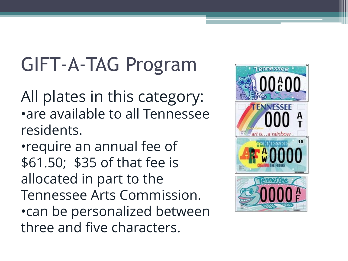# GIFT-A-TAG Program

All plates in this category: •are available to all Tennessee residents.

•require an annual fee of \$61.50; \$35 of that fee is allocated in part to the Tennessee Arts Commission. •can be personalized between three and five characters.